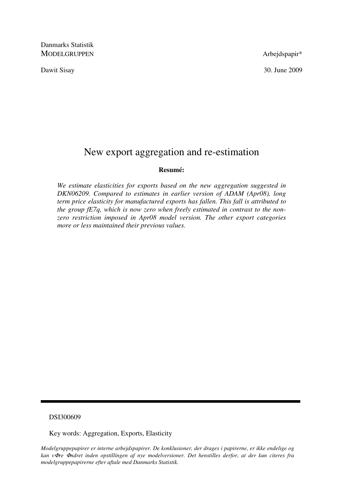Danmarks Statistik MODELGRUPPEN Arbejdspapir\*

Dawit Sisay 30. June 2009

# New export aggregation and re-estimation

#### **Resumé:**

*We estimate elasticities for exports based on the new aggregation suggested in DKN06209. Compared to estimates in earlier version of ADAM (Apr08), long term price elasticity for manufactured exports has fallen. This fall is attributed to the group fE7q, which is now zero when freely estimated in contrast to the nonzero restriction imposed in Apr08 model version. The other export categories more or less maintained their previous values.* 

#### DSI300609

Key words: Aggregation, Exports, Elasticity

*Modelgruppepapirer er interne arbejdspapirer. De konklusioner, der drages i papirerne, er ikke endelige og kan v*Φ*re* Φ*ndret inden opstillingen af nye modelversioner. Det henstilles derfor, at der kun citeres fra modelgruppepapirerne efter aftale med Danmarks Statistik.*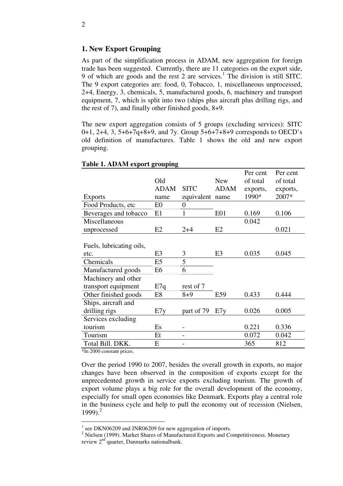### **1. New Export Grouping**

As part of the simplification process in ADAM, new aggregation for foreign trade has been suggested. Currently, there are 11 categories on the export side, 9 of which are goods and the rest 2 are services.<sup>1</sup> The division is still SITC. The 9 export categories are: food, 0, Tobacco, 1, miscellaneous unprocessed, 2+4, Energy, 3, chemicals, 5, manufactured goods, 6, machinery and transport equipment, 7, which is split into two (ships plus aircraft plus drilling rigs, and the rest of 7), and finally other finished goods, 8+9.

The new export aggregation consists of 5 groups (excluding services): SITC 0+1, 2+4, 3, 5+6+7q+8+9, and 7y. Group 5+6+7+8+9 corresponds to OECD's old definition of manufactures. Table 1 shows the old and new export grouping.

|                          |                |             |                | Per cent | Per cent |
|--------------------------|----------------|-------------|----------------|----------|----------|
|                          | Old            |             | <b>New</b>     | of total | of total |
|                          | <b>ADAM</b>    | <b>SITC</b> | <b>ADAM</b>    | exports, | exports, |
| <b>Exports</b>           | name           | equivalent  | name           | 1990*    | 2007*    |
| Food Products, etc       | E <sub>0</sub> |             |                |          |          |
| Beverages and tobacco    | E1             |             | E01            | 0.169    | 0.106    |
| Miscellaneous            |                |             |                | 0.042    |          |
| unprocessed              | E2             | $2 + 4$     | E2             |          | 0.021    |
|                          |                |             |                |          |          |
| Fuels, lubricating oils, |                |             |                |          |          |
| etc.                     | E <sub>3</sub> | 3           | E <sub>3</sub> | 0.035    | 0.045    |
| Chemicals                | E <sub>5</sub> | 5           |                |          |          |
| Manufactured goods       | Е6             | h           |                |          |          |
| Machinery and other      |                |             |                |          |          |
| transport equipment      | E7q            | rest of 7   |                |          |          |
| Other finished goods     | E8             | $8+9$       | E59            | 0.433    | 0.444    |
| Ships, aircraft and      |                |             |                |          |          |
| drilling rigs            | E7y            | part of 79  | E7y            | 0.026    | 0.005    |
| Services excluding       |                |             |                |          |          |
| tourism                  | Es             |             |                | 0.221    | 0.336    |
| Tourism                  | Et             |             |                | 0.072    | 0.042    |
| Total Bill. DKK.         | E              |             |                | 365      | 812      |

#### **Table 1. ADAM export grouping**

\*In 2000 constant prices.

Over the period 1990 to 2007, besides the overall growth in exports, no major changes have been observed in the composition of exports except for the unprecedented growth in service exports excluding tourism. The growth of export volume plays a big role for the overall development of the economy, especially for small open economies like Denmark. Exports play a central role in the business cycle and help to pull the economy out of recession (Nielsen, 1999).<sup>2</sup>

<sup>&</sup>lt;sup>1</sup> see DKN06209 and JNR06209 for new aggregation of imports.

<sup>&</sup>lt;sup>2</sup> Nielsen (1999). Market Shares of Manufactured Exports and Competitiveness. Monetary review 2<sup>nd</sup> quarter, Danmarks nationalbank.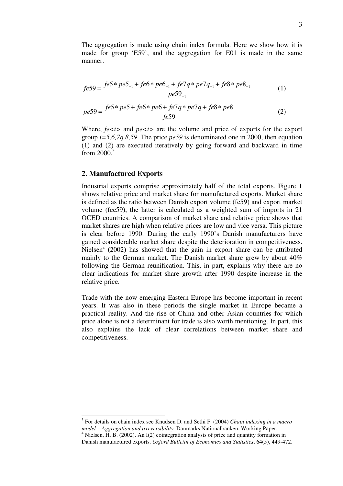The aggregation is made using chain index formula. Here we show how it is made for group 'E59', and the aggregation for E01 is made in the same manner.

$$
fe59 = \frac{fe5 \cdot 1 + fe6 \cdot 1 + fe7q \cdot 1 + fe7q \cdot 1 + fe8 \cdot 1 + fe8 \cdot 1}{pe59_{-1}} \tag{1}
$$

$$
pe59 = \frac{fe5 \cdot pe5 + fe6 \cdot pe6 + fe7q \cdot pe7q + fe8 \cdot pe8}{fe59}
$$
 (2)

Where,  $fe \le i$  and  $pe \le i$  are the volume and price of exports for the export group *i=5,6,7q,8,59*. The price *pe59* is denominated one in 2000, then equation (1) and (2) are executed iteratively by going forward and backward in time from  $2000$ .<sup>3</sup>

#### **2. Manufactured Exports**

-

Industrial exports comprise approximately half of the total exports. Figure 1 shows relative price and market share for manufactured exports. Market share is defined as the ratio between Danish export volume (fe59) and export market volume (fee59), the latter is calculated as a weighted sum of imports in 21 OCED countries. A comparison of market share and relative price shows that market shares are high when relative prices are low and vice versa. This picture is clear before 1990. During the early 1990's Danish manufacturers have gained considerable market share despite the deterioration in competitiveness. Nielsen<sup>4</sup> (2002) has showed that the gain in export share can be attributed mainly to the German market. The Danish market share grew by about 40% following the German reunification. This, in part, explains why there are no clear indications for market share growth after 1990 despite increase in the relative price.

Trade with the now emerging Eastern Europe has become important in recent years. It was also in these periods the single market in Europe became a practical reality. And the rise of China and other Asian countries for which price alone is not a determinant for trade is also worth mentioning. In part, this also explains the lack of clear correlations between market share and competitiveness.

<sup>3</sup> For details on chain index see Knudsen D. and Sethi F. (2004) *Chain indexing in a macro model – Aggregation and irreversibility.* Danmarks Nationalbanken, Working Paper.

<sup>&</sup>lt;sup>4</sup> Nielsen, H. B. (2002). An I(2) cointegration analysis of price and quantity formation in Danish manufactured exports. *Oxford Bulletin of Economics and Statistics*, 64(5), 449-472.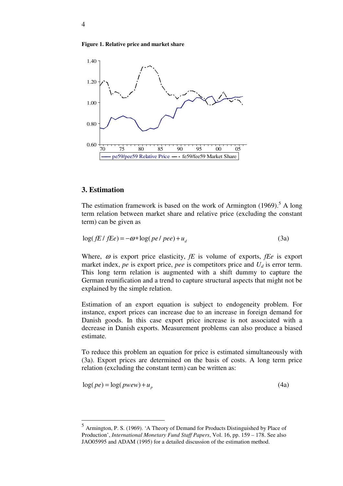



#### **3. Estimation**

 $\overline{a}$ 

The estimation framework is based on the work of Armington  $(1969)$ .<sup>5</sup> A long term relation between market share and relative price (excluding the constant term) can be given as

$$
\log( fE / fEe) = -\omega * \log(\text{pe}/\text{pe}e) + u_d \tag{3a}
$$

Where,  $\omega$  is export price elasticity,  $fE$  is volume of exports,  $fEe$  is export market index, *pe* is export price, *pee* is competitors price and  $U_d$  is error term. This long term relation is augmented with a shift dummy to capture the German reunification and a trend to capture structural aspects that might not be explained by the simple relation.

Estimation of an export equation is subject to endogeneity problem. For instance, export prices can increase due to an increase in foreign demand for Danish goods. In this case export price increase is not associated with a decrease in Danish exports. Measurement problems can also produce a biased estimate.

To reduce this problem an equation for price is estimated simultaneously with (3a). Export prices are determined on the basis of costs. A long term price relation (excluding the constant term) can be written as:

$$
log(pe) = log(pwew) + up
$$
 (4a)

<sup>5</sup> Armington, P. S. (1969). 'A Theory of Demand for Products Distinguished by Place of Production', *International Monetary Fund Staff Papers*, Vol. 16, pp. 159 – 178. See also JAO05995 and ADAM (1995) for a detailed discussion of the estimation method.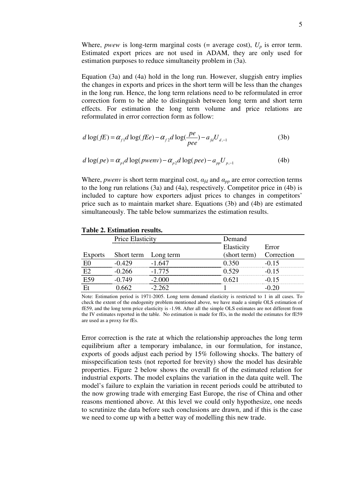Where, *pwew* is long-term marginal costs (= average cost),  $U_p$  is error term. Estimated export prices are not used in ADAM, they are only used for estimation purposes to reduce simultaneity problem in (3a).

Equation (3a) and (4a) hold in the long run. However, sluggish entry implies the changes in exports and prices in the short term will be less than the changes in the long run. Hence, the long term relations need to be reformulated in error correction form to be able to distinguish between long term and short term effects. For estimation the long term volume and price relations are reformulated in error correction form as follow:

$$
d \log(fE) = \alpha_{f1} d \log(fEe) - \alpha_{f2} d \log(\frac{pe}{pee}) - a_{fd} U_{d,-1}
$$
 (3b)

$$
d \log(pe) = \alpha_{p1} d \log(pwenv) - \alpha_{p2} d \log(pee) - a_{pp} U_{p,-1}
$$
 (4b)

Where, *pwenv* is short term marginal cost,  $\alpha_{fd}$  and  $\alpha_{pp}$  are error correction terms to the long run relations (3a) and (4a), respectively. Competitor price in (4b) is included to capture how exporters adjust prices to changes in competitors' price such as to maintain market share. Equations (3b) and (4b) are estimated simultaneously. The table below summarizes the estimation results.

| <b>Price Elasticity</b>      |          | Demand      |            |  |  |  |  |
|------------------------------|----------|-------------|------------|--|--|--|--|
|                              |          | Elasticity  | Error      |  |  |  |  |
| Exports Short term Long term |          | short term) | Correction |  |  |  |  |
|                              | - 647    |             | () 15      |  |  |  |  |
| -0.266                       | $-1.775$ | N 520       | .በ 15      |  |  |  |  |
| $-0.749$                     | 2 UUU    |             |            |  |  |  |  |
|                              | 262      |             |            |  |  |  |  |

#### **Table 2. Estimation results.**

Note: Estimation period is 1971-2005. Long term demand elasticity is restricted to 1 in all cases. To check the extent of the endogenity problem mentioned above, we have made a simple OLS estimation of fE59, and the long term price elasticity is -1.98. After all the simple OLS estimates are not different from the IV estimates reported in the table. No estimation is made for fEs, in the model the estimates for fE59 are used as a proxy for fEs.

Error correction is the rate at which the relationship approaches the long term equilibrium after a temporary imbalance, in our formulation, for instance, exports of goods adjust each period by 15% following shocks. The battery of misspecification tests (not reported for brevity) show the model has desirable properties. Figure 2 below shows the overall fit of the estimated relation for industrial exports. The model explains the variation in the data quite well. The model's failure to explain the variation in recent periods could be attributed to the now growing trade with emerging East Europe, the rise of China and other reasons mentioned above. At this level we could only hypothesize, one needs to scrutinize the data before such conclusions are drawn, and if this is the case we need to come up with a better way of modelling this new trade.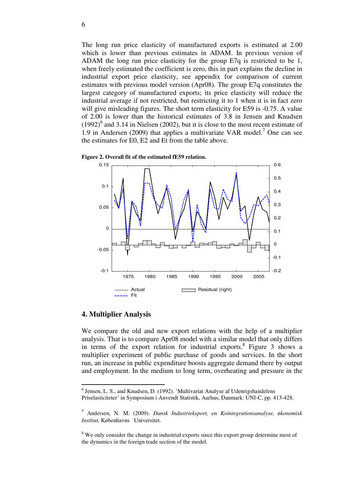The long run price elasticity of manufactured exports is estimated at 2.00 which is lower than previous estimates in ADAM. In previous version of ADAM the long run price elasticity for the group E7q is restricted to be 1, when freely estimated the coefficient is zero, this in part explains the decline in industrial export price elasticity, see appendix for comparison of current estimates with previous model version (Apr08). The group E7q constitutes the largest category of manufactured exports; its price elasticity will reduce the industrial average if not restricted, but restricting it to 1 when it is in fact zero will give misleading figures. The short term elasticity for E59 is -0.75. A value of 2.00 is lower than the historical estimates of 3.8 in Jensen and Knudsen  $(1992)^{6}$  and 3.14 in Nielsen (2002), but it is close to the most recent estimate of 1.9 in Andersen (2009) that applies a multivariate VAR model.<sup>7</sup> One can see the estimates for E0, E2 and Et from the table above.



**Figure 2. Overall fit of the estimated fE59 relation.** 

#### **4. Multiplier Analysis**

-

We compare the old and new export relations with the help of a multiplier analysis. That is to compare Apr08 model with a similar model that only differs in terms of the export relation for industrial exports.<sup>8</sup> Figure 3 shows a multiplier experiment of public purchase of goods and services. In the short run, an increase in public expenditure boosts aggregate demand there by output and employment. In the medium to long term, overheating and pressure in the

<sup>&</sup>lt;sup>6</sup> Jensen, L. S., and Knudsen, D. (1992). 'Multivariat Analyse af Udenrigshandelens Priselasticiteter' in Symposium i Anvendt Statistik, Aarhus, Danmark: UNI-C, pp. 413-428.

<sup>7</sup> Andersen, N. M. (2009). *Dansk Industrieksport, en Kointegrationsanalyse,* ø*konomisk Institut,* Københavns Universitet.

<sup>&</sup>lt;sup>8</sup> We only consider the change in industrial exports since this export group determine most of the dynamics in the foreign trade section of the model.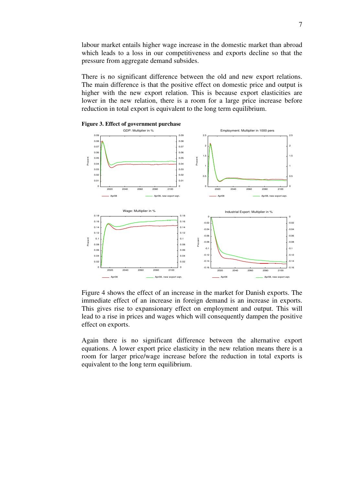labour market entails higher wage increase in the domestic market than abroad which leads to a loss in our competitiveness and exports decline so that the pressure from aggregate demand subsides.

There is no significant difference between the old and new export relations. The main difference is that the positive effect on domestic price and output is higher with the new export relation. This is because export elasticities are lower in the new relation, there is a room for a large price increase before reduction in total export is equivalent to the long term equilibrium.





Figure 4 shows the effect of an increase in the market for Danish exports. The immediate effect of an increase in foreign demand is an increase in exports. This gives rise to expansionary effect on employment and output. This will lead to a rise in prices and wages which will consequently dampen the positive effect on exports.

Again there is no significant difference between the alternative export equations. A lower export price elasticity in the new relation means there is a room for larger price/wage increase before the reduction in total exports is equivalent to the long term equilibrium.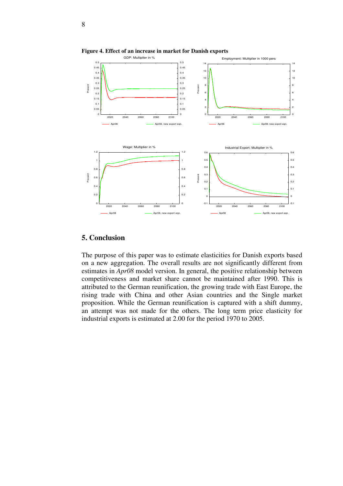

**Figure 4. Effect of an increase in market for Danish exports** 

#### **5. Conclusion**

The purpose of this paper was to estimate elasticities for Danish exports based on a new aggregation. The overall results are not significantly different from estimates in *Apr08* model version. In general, the positive relationship between competitiveness and market share cannot be maintained after 1990. This is attributed to the German reunification, the growing trade with East Europe, the rising trade with China and other Asian countries and the Single market proposition. While the German reunification is captured with a shift dummy, an attempt was not made for the others. The long term price elasticity for industrial exports is estimated at 2.00 for the period 1970 to 2005.